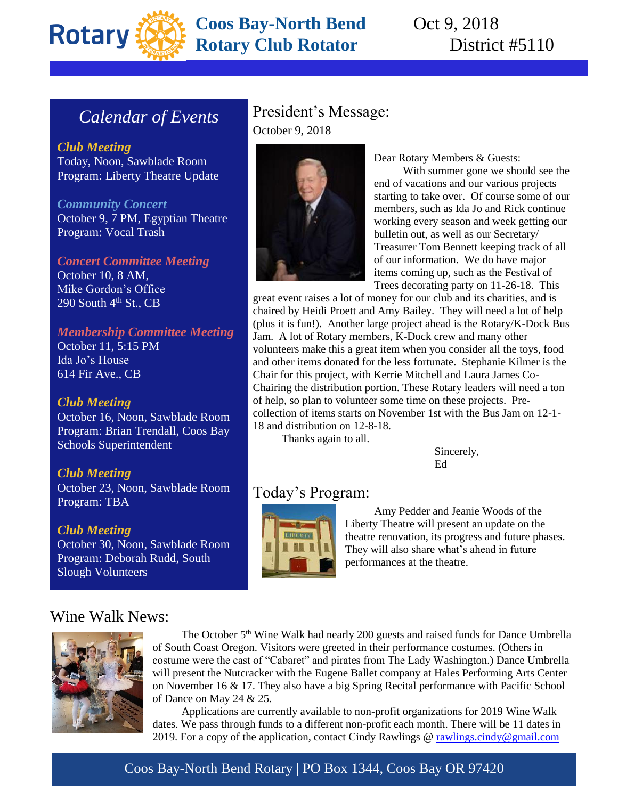

# **Coos Bay-North Bend** Oct 9, 2018 **Rotary Club Rotator** District #5110

# *Calendar of Events*

*Club Meeting* Today, Noon, Sawblade Room Program: Liberty Theatre Update

*Community Concert* October 9, 7 PM, Egyptian Theatre Program: Vocal Trash

*Concert Committee Meeting* October 10, 8 AM, Mike Gordon's Office 290 South  $4<sup>th</sup>$  St., CB

#### *Membership Committee Meeting*

October 11, 5:15 PM Ida Jo's House 614 Fir Ave., CB

#### *Club Meeting*

October 16, Noon, Sawblade Room Program: Brian Trendall, Coos Bay Schools Superintendent

*Club Meeting* October 23, Noon, Sawblade Room Program: TBA

*Club Meeting* October 30, Noon, Sawblade Room Program: Deborah Rudd, South Slough Volunteers

## President's Message: October 9, 2018



Dear Rotary Members & Guests:

With summer gone we should see the end of vacations and our various projects starting to take over. Of course some of our members, such as Ida Jo and Rick continue working every season and week getting our bulletin out, as well as our Secretary/ Treasurer Tom Bennett keeping track of all of our information. We do have major items coming up, such as the Festival of Trees decorating party on 11-26-18. This

great event raises a lot of money for our club and its charities, and is chaired by Heidi Proett and Amy Bailey. They will need a lot of help (plus it is fun!). Another large project ahead is the Rotary/K-Dock Bus Jam. A lot of Rotary members, K-Dock crew and many other volunteers make this a great item when you consider all the toys, food and other items donated for the less fortunate. Stephanie Kilmer is the Chair for this project, with Kerrie Mitchell and Laura James Co-Chairing the distribution portion. These Rotary leaders will need a ton of help, so plan to volunteer some time on these projects. Precollection of items starts on November 1st with the Bus Jam on 12-1- 18 and distribution on 12-8-18.

Thanks again to all.

Sincerely, Ed

## Today's Program:



Amy Pedder and Jeanie Woods of the Liberty Theatre will present an update on the theatre renovation, its progress and future phases. They will also share what's ahead in future performances at the theatre.

## Wine Walk News:



The October 5th Wine Walk had nearly 200 guests and raised funds for Dance Umbrella of South Coast Oregon. Visitors were greeted in their performance costumes. (Others in costume were the cast of "Cabaret" and pirates from The Lady Washington.) Dance Umbrella will present the Nutcracker with the Eugene Ballet company at Hales Performing Arts Center on November 16 & 17. They also have a big Spring Recital performance with Pacific School of Dance on May 24 & 25.

Applications are currently available to non-profit organizations for 2019 Wine Walk dates. We pass through funds to a different non-profit each month. There will be 11 dates in 2019. For a copy of the application, contact Cindy Rawlings  $\omega$  rawlings.cindy  $\omega$  gmail.com